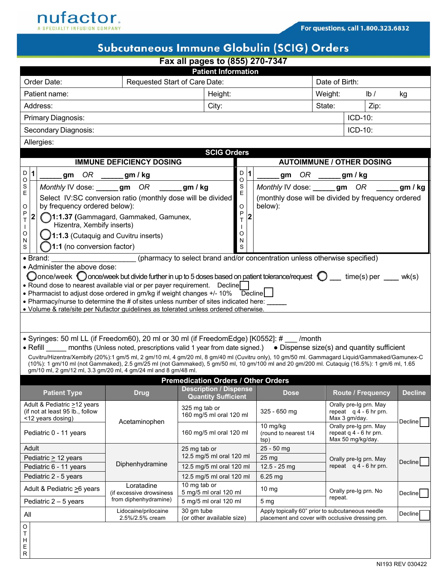

## Subcutaneous Immune Globulin (SCIG) Orders

| Fax all pages to (855) 270-7347                |                                                                                                                                                                                                                                                                                              |                                                             |                                                             |                                                                     |             |                                                                                                                 |                                  |                                                                       |                |  |  |  |  |
|------------------------------------------------|----------------------------------------------------------------------------------------------------------------------------------------------------------------------------------------------------------------------------------------------------------------------------------------------|-------------------------------------------------------------|-------------------------------------------------------------|---------------------------------------------------------------------|-------------|-----------------------------------------------------------------------------------------------------------------|----------------------------------|-----------------------------------------------------------------------|----------------|--|--|--|--|
| <b>Patient Information</b>                     |                                                                                                                                                                                                                                                                                              |                                                             |                                                             |                                                                     |             |                                                                                                                 |                                  |                                                                       |                |  |  |  |  |
| Order Date:<br>Requested Start of Care Date:   |                                                                                                                                                                                                                                                                                              |                                                             |                                                             |                                                                     |             |                                                                                                                 |                                  | Date of Birth:                                                        |                |  |  |  |  |
| Patient name:                                  |                                                                                                                                                                                                                                                                                              |                                                             |                                                             | Height:                                                             |             |                                                                                                                 | Weight:                          | $\mathsf{lb}/\mathsf{b}$                                              | kg             |  |  |  |  |
| Address:                                       |                                                                                                                                                                                                                                                                                              |                                                             |                                                             |                                                                     | City:       |                                                                                                                 |                                  | Zip:                                                                  |                |  |  |  |  |
| Primary Diagnosis:                             |                                                                                                                                                                                                                                                                                              |                                                             |                                                             |                                                                     |             |                                                                                                                 |                                  | ICD-10:                                                               |                |  |  |  |  |
| Secondary Diagnosis:                           |                                                                                                                                                                                                                                                                                              |                                                             |                                                             |                                                                     |             |                                                                                                                 |                                  | ICD-10:                                                               |                |  |  |  |  |
|                                                | Allergies:                                                                                                                                                                                                                                                                                   |                                                             |                                                             |                                                                     |             |                                                                                                                 |                                  |                                                                       |                |  |  |  |  |
| <b>SCIG Orders</b>                             |                                                                                                                                                                                                                                                                                              |                                                             |                                                             |                                                                     |             |                                                                                                                 |                                  |                                                                       |                |  |  |  |  |
| D<br>$\mathbf{1}$                              | <b>IMMUNE DEFICIENCY DOSING</b>                                                                                                                                                                                                                                                              |                                                             |                                                             |                                                                     |             | <b>AUTOIMMUNE / OTHER DOSING</b><br>$OR \_\_\_$ gm/kg                                                           |                                  |                                                                       |                |  |  |  |  |
| O                                              | OR<br>______ gm / kg<br>gm                                                                                                                                                                                                                                                                   |                                                             |                                                             |                                                                     |             | 1<br>gm                                                                                                         |                                  |                                                                       |                |  |  |  |  |
| S<br>E                                         | Monthly IV dose: _____gm OR                                                                                                                                                                                                                                                                  | Select IV:SC conversion ratio (monthly dose will be divided | gm / kg                                                     | S<br>$\mathsf E$                                                    |             | Monthly IV dose: _____gm OR<br>gm / kg<br>(monthly dose will be divided by frequency ordered<br>below):         |                                  |                                                                       |                |  |  |  |  |
| O                                              | by frequency ordered below):                                                                                                                                                                                                                                                                 |                                                             |                                                             | $\circ$                                                             |             |                                                                                                                 |                                  |                                                                       |                |  |  |  |  |
| P<br>2<br>T                                    |                                                                                                                                                                                                                                                                                              | 1:1.37 (Gammagard, Gammaked, Gamunex,                       |                                                             | P<br>T                                                              | $\mathbf 2$ |                                                                                                                 |                                  |                                                                       |                |  |  |  |  |
| $\mathbf{I}$<br>O                              | Hizentra, Xembify inserts)                                                                                                                                                                                                                                                                   |                                                             |                                                             | O                                                                   |             |                                                                                                                 |                                  |                                                                       |                |  |  |  |  |
| N                                              |                                                                                                                                                                                                                                                                                              | 1:1.3 (Cutaquig and Cuvitru inserts)                        |                                                             | N                                                                   |             |                                                                                                                 |                                  |                                                                       |                |  |  |  |  |
| S                                              | 1:1 (no conversion factor)<br>• Brand:                                                                                                                                                                                                                                                       |                                                             |                                                             | S                                                                   |             | (pharmacy to select brand and/or concentration unless otherwise specified)                                      |                                  |                                                                       |                |  |  |  |  |
|                                                | • Administer the above dose:                                                                                                                                                                                                                                                                 |                                                             |                                                             |                                                                     |             |                                                                                                                 |                                  |                                                                       |                |  |  |  |  |
|                                                | Oonce/week Oonce/week but divide further in up to 5 doses based on patient tolerance/request $\bigcirc$ time(s) per wk(s)                                                                                                                                                                    |                                                             |                                                             |                                                                     |             |                                                                                                                 |                                  |                                                                       |                |  |  |  |  |
|                                                | • Round dose to nearest available vial or per payer requirement.  Decline                                                                                                                                                                                                                    |                                                             |                                                             |                                                                     |             |                                                                                                                 |                                  |                                                                       |                |  |  |  |  |
|                                                | • Pharmacist to adjust dose ordered in gm/kg if weight changes +/- 10% Decline<br>• Pharmacy/nurse to determine the # of sites unless number of sites indicated here:                                                                                                                        |                                                             |                                                             |                                                                     |             |                                                                                                                 |                                  |                                                                       |                |  |  |  |  |
|                                                | • Volume & rate/site per Nufactor guidelines as tolerated unless ordered otherwise.                                                                                                                                                                                                          |                                                             |                                                             |                                                                     |             |                                                                                                                 |                                  |                                                                       |                |  |  |  |  |
|                                                |                                                                                                                                                                                                                                                                                              |                                                             |                                                             |                                                                     |             |                                                                                                                 |                                  |                                                                       |                |  |  |  |  |
|                                                | • Syringes: 50 ml LL (if Freedom60), 20 ml or 30 ml (if FreedomEdge) [K0552]: # /month                                                                                                                                                                                                       |                                                             |                                                             |                                                                     |             |                                                                                                                 |                                  |                                                                       |                |  |  |  |  |
|                                                | • Refill months (Unless noted, prescriptions valid 1 year from date signed.) • Dispense size(s) and quantity sufficient                                                                                                                                                                      |                                                             |                                                             |                                                                     |             |                                                                                                                 |                                  |                                                                       |                |  |  |  |  |
|                                                | Cuvitru/Hizentra/Xembify (20%):1 gm/5 ml, 2 gm/10 ml, 4 gm/20 ml, 8 gm/40 ml (Cuvitru only), 10 gm/50 ml. Gammagard Liquid/Gammaked/Gamunex-C<br>(10%): 1 gm/10 ml (not Gammaked), 2.5 gm/25 ml (not Gammaked), 5 gm/50 ml, 10 gm/100 ml and 20 gm/200 ml. Cutaquig (16.5%): 1 gm/6 ml, 1.65 |                                                             |                                                             |                                                                     |             |                                                                                                                 |                                  |                                                                       |                |  |  |  |  |
|                                                | gm/10 ml, 2 gm/12 ml, 3.3 gm/20 ml, 4 gm/24 ml and 8 gm/48 ml.                                                                                                                                                                                                                               |                                                             |                                                             |                                                                     |             |                                                                                                                 |                                  |                                                                       |                |  |  |  |  |
|                                                |                                                                                                                                                                                                                                                                                              |                                                             | <b>Premedication Orders / Other Orders</b>                  |                                                                     |             |                                                                                                                 |                                  |                                                                       |                |  |  |  |  |
|                                                | <b>Patient Type</b>                                                                                                                                                                                                                                                                          | <b>Drug</b>                                                 | <b>Description / Dispense</b><br><b>Quantity Sufficient</b> |                                                                     |             | <b>Dose</b>                                                                                                     |                                  | <b>Route / Frequency</b>                                              | <b>Decline</b> |  |  |  |  |
|                                                | Adult & Pediatric >12 years<br>(if not at least 95 lb., follow<br><12 years dosing)                                                                                                                                                                                                          |                                                             |                                                             | 325 mg tab or<br>160 mg/5 ml oral 120 ml<br>160 mg/5 ml oral 120 ml |             | 325 - 650 mg                                                                                                    |                                  | Orally pre-Ig prn. May<br>repeat $q$ 4 - 6 hr prn.<br>Max 3 gm/day.   | Decline l      |  |  |  |  |
| Pediatric 0 - 11 years                         |                                                                                                                                                                                                                                                                                              | Acetaminophen                                               |                                                             |                                                                     |             | 10 mg/kg<br>(round to nearest 1/4<br>tsp)                                                                       |                                  | Orally pre-Ig prn. May<br>repeat q 4 - 6 hr prn.<br>Max 50 mg/kg/day. |                |  |  |  |  |
| Adult                                          |                                                                                                                                                                                                                                                                                              |                                                             | 25 mg tab or                                                |                                                                     |             | 25 - 50 mg                                                                                                      |                                  |                                                                       |                |  |  |  |  |
| Pediatric > 12 years                           |                                                                                                                                                                                                                                                                                              | Diphenhydramine                                             | 12.5 mg/5 ml oral 120 ml                                    |                                                                     |             | 25 <sub>mg</sub>                                                                                                |                                  | Orally pre-Ig prn. May                                                | <b>Decline</b> |  |  |  |  |
| Pediatric 6 - 11 years                         |                                                                                                                                                                                                                                                                                              |                                                             | 12.5 mg/5 ml oral 120 ml                                    |                                                                     |             | 12.5 - 25 mg                                                                                                    |                                  | repeat $q$ 4 - 6 hr prn.                                              |                |  |  |  |  |
| Pediatric 2 - 5 years<br>Loratadine            |                                                                                                                                                                                                                                                                                              |                                                             | 12.5 mg/5 ml oral 120 ml<br>10 mg tab or                    |                                                                     |             | 6.25 mg                                                                                                         |                                  |                                                                       |                |  |  |  |  |
| Adult & Pediatric >6 years                     |                                                                                                                                                                                                                                                                                              | (if excessive drowsiness                                    |                                                             | 5 mg/5 ml oral 120 ml<br>5 mg/5 ml oral 120 ml                      |             | $10 \text{ mg}$                                                                                                 | Orally pre-Ig prn. No<br>repeat. |                                                                       | <b>Decline</b> |  |  |  |  |
| Pediatric $2 - 5$ years                        |                                                                                                                                                                                                                                                                                              | from diphenhydramine)                                       |                                                             |                                                                     |             | 5 <sub>mg</sub>                                                                                                 |                                  |                                                                       |                |  |  |  |  |
| Lidocaine/prilocaine<br>All<br>2.5%/2.5% cream |                                                                                                                                                                                                                                                                                              |                                                             | 30 qm tube<br>(or other available size)                     |                                                                     |             | Apply topically 60" prior to subcutaneous needle<br>Decline<br>placement and cover with occlusive dressing prn. |                                  |                                                                       |                |  |  |  |  |
| O<br>T<br>Н<br>Ε<br>R                          |                                                                                                                                                                                                                                                                                              |                                                             |                                                             |                                                                     |             |                                                                                                                 |                                  |                                                                       |                |  |  |  |  |